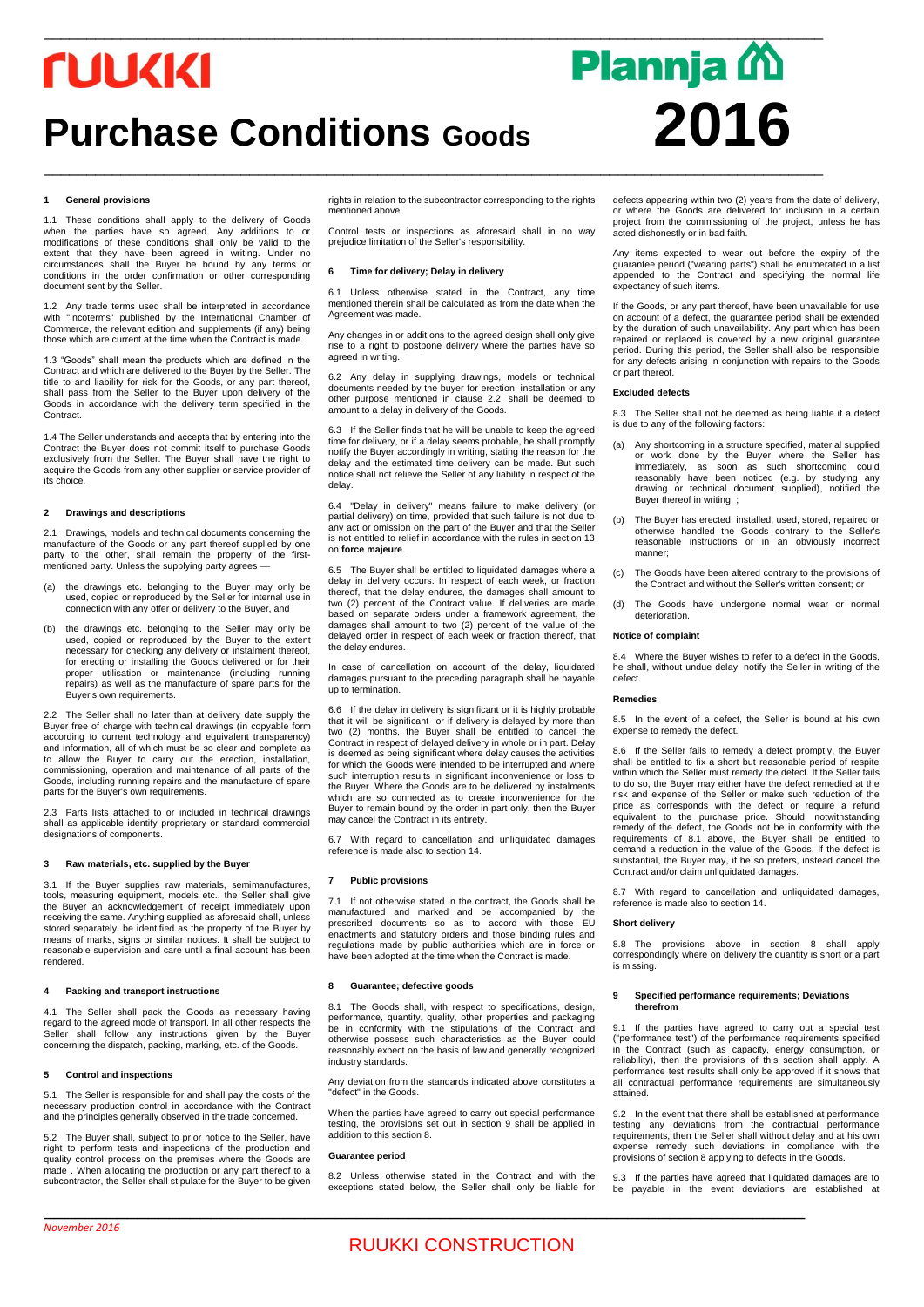## *<u>TUUKKI</u>*

## **Purchase Conditions Goods 2016**

# $\_$  ,  $\_$  ,  $\_$  ,  $\_$  ,  $\_$  ,  $\_$  ,  $\_$  ,  $\_$  ,  $\_$  ,  $\_$  ,  $\_$  ,  $\_$  ,  $\_$  ,  $\_$  ,  $\_$  ,  $\_$  ,  $\_$  ,  $\_$  ,  $\_$  ,  $\_$  ,  $\_$  ,  $\_$  ,  $\_$  ,  $\_$  ,  $\_$  ,  $\_$  ,  $\_$  ,  $\_$  ,  $\_$  ,  $\_$  ,  $\_$  ,  $\_$  ,  $\_$  ,  $\_$  ,  $\_$  ,  $\_$  ,  $\_$  , **Plannja** M

## **1 General provisions**

1.1 These conditions shall apply to the delivery of Goods when the parties have so agreed. Any additions to or modifications of these conditions shall only be valid to the extent that they have been agreed in writing. Under no circumstances shall the Buyer be bound by any terms or conditions in the order confirmation or other corresponding document sent by the Seller.

1.2 Any trade terms used shall be interpreted in accordance with "Incoterms" published by the International Chamber of Commerce, the relevant edition and supplements (if any) being those which are current at the time when the Contract is made.

1.3 "Goods" shall mean the products which are defined in the Contract and which are delivered to the Buyer by the Seller. The title to and liability for risk for the Goods, or any part thereof, shall pass from the Seller to the Buyer upon delivery of the Goods in accordance with the delivery term specified in the Contract.

1.4 The Seller understands and accepts that by entering into the Contract the Buyer does not commit itself to purchase Goods exclusively from the Seller. The Buyer shall have the right to acquire the Goods from any other supplier or service provider of its choice.

## **2 Drawings and descriptions**

2.1 Drawings, models and technical documents concerning the manufacture of the Goods or any part thereof supplied by one party to the other, shall remain the property of the firstmentioned party. Unless the supplying party agrees

- (a) the drawings etc. belonging to the Buyer may only be used, copied or reproduced by the Seller for internal use in connection with any offer or delivery to the Buyer, and
- (b) the drawings etc. belonging to the Seller may only be used, copied or reproduced by the Buyer to the extent necessary for checking any delivery or instalment thereof, for erecting or installing the Goods delivered or for their proper utilisation or maintenance (including running repairs) as well as the manufacture of spare parts for the Buyer's own requirements.

2.2 The Seller shall no later than at delivery date supply the Buyer free of charge with technical drawings (in copyable form according to current technology and equivalent transparency) and information, all of which must be so clear and complete as to allow the Buyer to carry out the erection, installation, commissioning, operation and maintenance of all parts of the Goods, including running repairs and the manufacture of spare parts for the Buyer's own requirements.

2.3 Parts lists attached to or included in technical drawings shall as applicable identify proprietary or standard commercial designations of components.

## **3 Raw materials, etc. supplied by the Buyer**

3.1 If the Buyer supplies raw materials, semimanufactures, tools, measuring equipment, models etc., the Seller shall give the Buyer an acknowledgement of receipt immediately upon receiving the same. Anything supplied as aforesaid shall, unless stored separately, be identified as the property of the Buyer by means of marks, signs or similar notices. It shall be subject to reasonable supervision and care until a final account has been rendered.

## **4 Packing and transport instructions**

4.1 The Seller shall pack the Goods as necessary having regard to the agreed mode of transport. In all other respects the Seller shall follow any instructions given by the Buyer concerning the dispatch, packing, marking, etc. of the Goods.

## **5 Control and inspections**

5.1 The Seller is responsible for and shall pay the costs of the ssary production control in accordance with the Contract and the principles generally observed in the trade concerned.

5.2 The Buyer shall, subject to prior notice to the Seller, have right to perform tests and inspections of the production and quality control process on the premises where the Goods are made . When allocating the production or any part thereof to a subcontractor, the Seller shall stipulate for the Buyer to be given rights in relation to the subcontractor corresponding to the rights mentioned above.

 $\_$  ,  $\_$  ,  $\_$  ,  $\_$  ,  $\_$  ,  $\_$  ,  $\_$  ,  $\_$  ,  $\_$  ,  $\_$  ,  $\_$  ,  $\_$  ,  $\_$  ,  $\_$  ,  $\_$  ,  $\_$  ,  $\_$  ,  $\_$  ,  $\_$  ,  $\_$  ,  $\_$  ,  $\_$  ,  $\_$  ,  $\_$  ,  $\_$  ,  $\_$  ,  $\_$  ,  $\_$  ,  $\_$  ,  $\_$  ,  $\_$  ,  $\_$  ,  $\_$  ,  $\_$  ,  $\_$  ,  $\_$  ,  $\_$  ,

Control tests or inspections as aforesaid shall in no way prejudice limitation of the Seller's responsibility.

#### **6 Time for delivery; Delay in delivery**

6.1 Unless otherwise stated in the Contract, any time mentioned therein shall be calculated as from the date when the Agreement was made.

Any changes in or additions to the agreed design shall only give rise to a right to postpone delivery where the parties have so agreed in writing.

6.2 Any delay in supplying drawings, models or technical documents needed by the buyer for erection, installation or any other purpose mentioned in clause 2.2, shall be deemed to amount to a delay in delivery of the Goods.

6.3 If the Seller finds that he will be unable to keep the agreed time for delivery, or if a delay seems probable, he shall promptly notify the Buyer accordingly in writing, stating the reason for the delay and the estimated time delivery can be made. But such notice shall not relieve the Seller of any liability in respect of the delay.

6.4 "Delay in delivery" means failure to make delivery (or partial delivery) on time, provided that such failure is not due to any act or omission on the part of the Buyer and that the Seller is not entitled to relief in accordance with the rules in section 13 on **force majeure**.

6.5 The Buyer shall be entitled to liquidated damages where a delay in delivery occurs. In respect of each week, or fraction thereof, that the delay endures, the damages shall amount to two (2) percent of the Contract value. If deliveries are made based on separate orders under a framework agreement, the damages shall amount to two (2) percent of the value of the delayed order in respect of each week or fraction thereof, that the delay endures.

In case of cancellation on account of the delay, liquidated damages pursuant to the preceding paragraph shall be payable up to termination.

If the delay in delivery is significant or it is highly probable that it will be significant or if delivery is delayed by more than two (2) months, the Buyer shall be entitled to cancel the Contract in respect of delayed delivery in whole or in part. Delay is deemed as being significant where delay causes the activities for which the Goods were intended to be interrupted and where such interruption results in significant inconvenience or loss to the Buyer. Where the Goods are to be delivered by instalments which are so connected as to create inconvenience for the Buyer to remain bound by the order in part only, then the Buyer may cancel the Contract in its entirety.

6.7 With regard to cancellation and unliquidated damages reference is made also to section 14.

## **7 Public provisions**

7.1 If not otherwise stated in the contract, the Goods shall be manufactured and marked and be accompanied by the prescribed documents so as to accord with those EU enactments and statutory orders and those binding rules and regulations made by public authorities which are in force or have been adopted at the time when the Contract is made.

#### **8 Guarantee; defective goods**

8.1 The Goods shall, with respect to specifications, design, performance, quantity, quality, other properties and packaging be in conformity with the stipulations of the Contract and otherwise possess such characteristics as the Buyer could reasonably expect on the basis of law and generally recognized industry standards.

Any deviation from the standards indicated above constitutes a "defect" in the Goods.

When the parties have agreed to carry out special performance testing, the provisions set out in section 9 shall be applied in addition to this section 8.

#### **Guarantee period**

8.2 Unless otherwise stated in the Contract and with the exceptions stated below, the Seller shall only be liable for

\_\_\_\_\_\_\_\_\_\_\_\_\_\_\_\_\_\_\_\_\_\_\_\_\_\_\_\_\_\_\_\_\_\_\_\_\_\_\_\_\_\_\_\_\_\_\_\_\_\_\_\_\_\_\_\_\_\_\_\_\_\_\_\_\_\_\_\_\_\_\_\_\_

defects appearing within two (2) years from the date of delivery, or where the Goods are delivered for inclusion in a certain project from the commissioning of the project, unless he has acted dishonestly or in bad faith.

Any items expected to wear out before the expiry of the guarantee period ("wearing parts") shall be enumerated in a list appended to the Contract and specifying the normal life expectancy of such items.

If the Goods, or any part thereof, have been unavailable for use on account of a defect, the guarantee period shall be extended by the duration of such unavailability. Any part which has been repaired or replaced is covered by a new original guarantee period. During this period, the Seller shall also be responsible for any defects arising in conjunction with repairs to the Goods or part thereof.

## **Excluded defects**

8.3 The Seller shall not be deemed as being liable if a defect is due to any of the following factors:

- (a) Any shortcoming in a structure specified, material supplied or work done by the Buyer where the Seller has immediately, as soon as such shortcoming could reasonably have been noticed (e.g. by studying any drawing or technical document supplied), notified the Buyer thereof in writing. ;
- (b) The Buyer has erected, installed, used, stored, repaired or otherwise handled the Goods contrary to the reasonable instructions or in an obviously incorrect manner;
- (c) The Goods have been altered contrary to the provisions of the Contract and without the Seller's written consent; or
- (d) The Goods have undergone normal wear or normal deterioration.

## **Notice of complain**

8.4 Where the Buyer wishes to refer to a defect in the Goods, he shall, without undue delay, notify the Seller in writing of the defect.

#### **Remedies**

8.5 In the event of a defect, the Seller is bound at his own expense to remedy the defect.

8.6 If the Seller fails to remedy a defect promptly, the Buyer shall be entitled to fix a short but reasonable period of respite within which the Seller must remedy the defect. If the Seller fails to do so, the Buyer may either have the defect remedied at the risk and expense of the Seller or make such reduction of the price as corresponds with the defect or require a refund equivalent to the purchase price. Should, notwithstanding remedy of the defect, the Goods not be in conformity with the requirements of 8.1 above, the Buyer shall be entitled to demand a reduction in the value of the Goods. If the defect is substantial, the Buyer may, if he so prefers, instead cancel the Contract and/or claim unliquidated damages.

8.7 With regard to cancellation and unliquidated damages, reference is made also to section 14.

## **Short delivery**

8.8 The provisions above in section 8 shall apply correspondingly where on delivery the quantity is short or a part is missing.

### **9 Specified performance requirements; Deviations therefrom**

9.1 If the parties have agreed to carry out a special test ("performance test") of the performance requirements specified in the Contract (such as capacity, energy consumption, or reliability), then the provisions of this section shall apply. A performance test results shall only be approved if it shows that all contractual performance requirements are simultaneously attained.

9.2 In the event that there shall be established at performance testing any deviations from the contractual performance requirements, then the Seller shall without delay and at his own expense remedy such deviations in compliance with the provisions of section 8 applying to defects in the Goods.

9.3 If the parties have agreed that liquidated damages are to be payable in the event deviations are established at